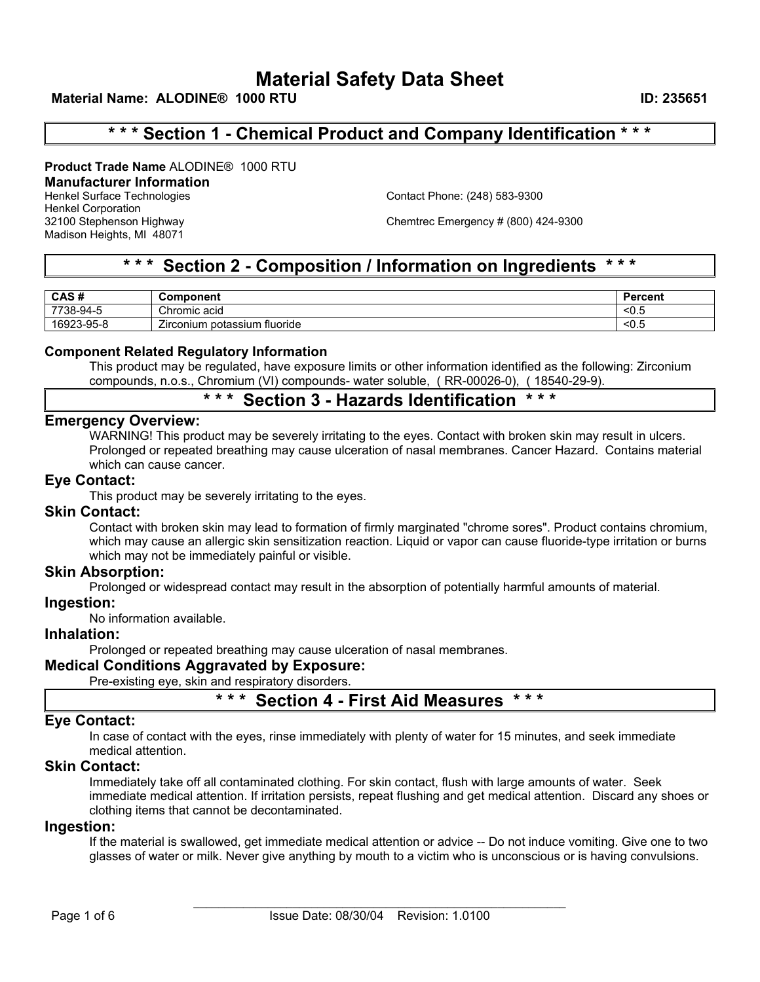# **\* \* \* Section 1 - Chemical Product and Company Identification \* \* \***

**Product Trade Name** ALODINE® 1000 RTU

# **Manufacturer Information**

Henkel Corporation Madison Heights, MI 48071

Henkel Surface Technologies Contact Phone: (248) 583-9300

32100 Stephenson Highway Chemtrec Emergency # (800) 424-9300

# **\* \* \* Section 2 - Composition / Information on Ingredients \* \* \***

| CAS#                  | ponent<br>ັບom∽                                  | Jaroont<br>ווש |
|-----------------------|--------------------------------------------------|----------------|
| 7700<br>$38 - 94 - F$ | Chromic acid                                     | __<0.          |
| 6923-95-8<br>פרחם ו   | --<br>fluoride<br>potassium<br><i>L</i> irconium | __<∪.Ĵ         |

# **Component Related Regulatory Information**

This product may be regulated, have exposure limits or other information identified as the following: Zirconium compounds, n.o.s., Chromium (VI) compounds- water soluble, ( RR-00026-0), ( 18540-29-9).

# **\* \* \* Section 3 - Hazards Identification \* \* \***

# **Emergency Overview:**

WARNING! This product may be severely irritating to the eyes. Contact with broken skin may result in ulcers. Prolonged or repeated breathing may cause ulceration of nasal membranes. Cancer Hazard. Contains material which can cause cancer.

# **Eye Contact:**

This product may be severely irritating to the eyes.

# **Skin Contact:**

Contact with broken skin may lead to formation of firmly marginated "chrome sores". Product contains chromium, which may cause an allergic skin sensitization reaction. Liquid or vapor can cause fluoride-type irritation or burns which may not be immediately painful or visible.

# **Skin Absorption:**

Prolonged or widespread contact may result in the absorption of potentially harmful amounts of material.

# **Ingestion:**

No information available.

# **Inhalation:**

Prolonged or repeated breathing may cause ulceration of nasal membranes.

# **Medical Conditions Aggravated by Exposure:**

Pre-existing eye, skin and respiratory disorders.

# **\* \* \* Section 4 - First Aid Measures \* \* \***

# **Eye Contact:**

In case of contact with the eyes, rinse immediately with plenty of water for 15 minutes, and seek immediate medical attention.

# **Skin Contact:**

Immediately take off all contaminated clothing. For skin contact, flush with large amounts of water. Seek immediate medical attention. If irritation persists, repeat flushing and get medical attention. Discard any shoes or clothing items that cannot be decontaminated.

# **Ingestion:**

If the material is swallowed, get immediate medical attention or advice -- Do not induce vomiting. Give one to two glasses of water or milk. Never give anything by mouth to a victim who is unconscious or is having convulsions.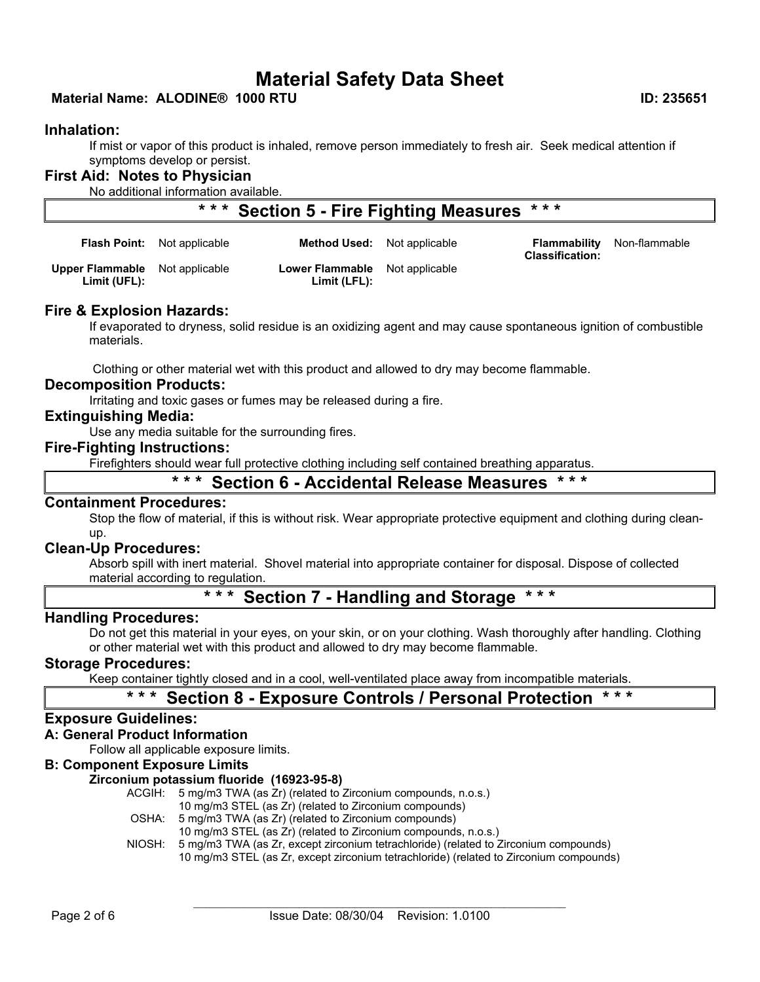# **Material Name: ALODINE® 1000 RTU ID: 235651**

# **Inhalation:**

If mist or vapor of this product is inhaled, remove person immediately to fresh air. Seek medical attention if symptoms develop or persist.

# **First Aid: Notes to Physician**

No additional information available.

# **\* \* \* Section 5 - Fire Fighting Measures \* \* \***

|                                                       | <b>Flash Point:</b> Not applicable | <b>Method Used:</b> Not applicable             | <b>Classification:</b> | <b>Flammability</b> Non-flammable |
|-------------------------------------------------------|------------------------------------|------------------------------------------------|------------------------|-----------------------------------|
| <b>Upper Flammable</b> Not applicable<br>Limit (UFL): |                                    | Lower Flammable Not applicable<br>Limit (LFL): |                        |                                   |

# **Fire & Explosion Hazards:**

If evaporated to dryness, solid residue is an oxidizing agent and may cause spontaneous ignition of combustible materials.

Clothing or other material wet with this product and allowed to dry may become flammable.

#### **Decomposition Products:**

Irritating and toxic gases or fumes may be released during a fire.

# **Extinguishing Media:**

Use any media suitable for the surrounding fires.

# **Fire-Fighting Instructions:**

Firefighters should wear full protective clothing including self contained breathing apparatus.

# **\* \* \* Section 6 - Accidental Release Measures \* \* \***

#### **Containment Procedures:**

Stop the flow of material, if this is without risk. Wear appropriate protective equipment and clothing during cleanup.

# **Clean-Up Procedures:**

Absorb spill with inert material. Shovel material into appropriate container for disposal. Dispose of collected material according to regulation.

# **\* \* \* Section 7 - Handling and Storage \* \* \***

# **Handling Procedures:**

Do not get this material in your eyes, on your skin, or on your clothing. Wash thoroughly after handling. Clothing or other material wet with this product and allowed to dry may become flammable.

# **Storage Procedures:**

Keep container tightly closed and in a cool, well-ventilated place away from incompatible materials.

# **\* \* \* Section 8 - Exposure Controls / Personal Protection \* \* \***

# **Exposure Guidelines:**

#### **A: General Product Information**

Follow all applicable exposure limits.

## **B: Component Exposure Limits**

#### **Zirconium potassium fluoride (16923-95-8)**

- ACGIH: 5 mg/m3 TWA (as Zr) (related to Zirconium compounds, n.o.s.)
	- 10 mg/m3 STEL (as Zr) (related to Zirconium compounds)
- OSHA: 5 mg/m3 TWA (as Zr) (related to Zirconium compounds)
	- 10 mg/m3 STEL (as Zr) (related to Zirconium compounds, n.o.s.)
- NIOSH: 5 mg/m3 TWA (as Zr, except zirconium tetrachloride) (related to Zirconium compounds)

10 mg/m3 STEL (as Zr, except zirconium tetrachloride) (related to Zirconium compounds)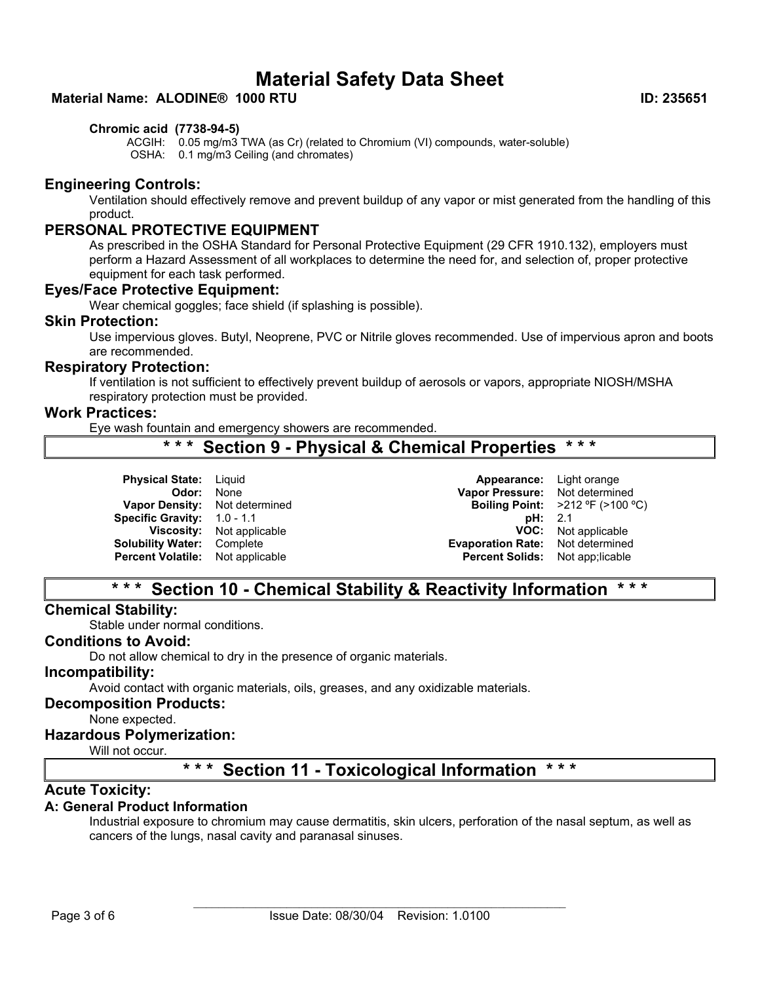# **Material Name: ALODINE® 1000 RTU ID: 235651**

## **Chromic acid (7738-94-5)**

ACGIH: 0.05 mg/m3 TWA (as Cr) (related to Chromium (VI) compounds, water-soluble) OSHA: 0.1 mg/m3 Ceiling (and chromates)

# **Engineering Controls:**

Ventilation should effectively remove and prevent buildup of any vapor or mist generated from the handling of this product.

# **PERSONAL PROTECTIVE EQUIPMENT**

As prescribed in the OSHA Standard for Personal Protective Equipment (29 CFR 1910.132), employers must perform a Hazard Assessment of all workplaces to determine the need for, and selection of, proper protective equipment for each task performed.

# **Eyes/Face Protective Equipment:**

Wear chemical goggles; face shield (if splashing is possible).

#### **Skin Protection:**

Use impervious gloves. Butyl, Neoprene, PVC or Nitrile gloves recommended. Use of impervious apron and boots are recommended.

#### **Respiratory Protection:**

If ventilation is not sufficient to effectively prevent buildup of aerosols or vapors, appropriate NIOSH/MSHA respiratory protection must be provided.

## **Work Practices:**

Eye wash fountain and emergency showers are recommended.

# **\* \* \* Section 9 - Physical & Chemical Properties \* \* \***

**Vapor Density:** Not determined **Boiling Point:** >212 ºF (>100 ºC) **Specific Gravity:** 1.0 - 1.1 **pH:** 2.1 **Percent Volatile:** Not applicable **Percent Solids:** Not app;licable

**Physical State:** Liquid **Appearance: Light orange consumers and appearance: Light orange consumers and appearance: Appearance: Light orange consumers and appearance consumers and appearance consumers and appearance consum Vapor Pressure:** Not determined<br>**Boiling Point:** >212 °F (>100 °C) **Viscosity:** Not applicable **VOC:** Not applicable **Solubility Water:** Complete **Evaporation Rate:** Not determined

# **\* \* \* Section 10 - Chemical Stability & Reactivity Information \* \* \***

# **Chemical Stability:**

Stable under normal conditions.

# **Conditions to Avoid:**

Do not allow chemical to dry in the presence of organic materials.

#### **Incompatibility:**

Avoid contact with organic materials, oils, greases, and any oxidizable materials.

## **Decomposition Products:**

None expected.

#### **Hazardous Polymerization:**

Will not occur.

# **\* \* \* Section 11 - Toxicological Information \* \* \***

# **Acute Toxicity:**

# **A: General Product Information**

Industrial exposure to chromium may cause dermatitis, skin ulcers, perforation of the nasal septum, as well as cancers of the lungs, nasal cavity and paranasal sinuses.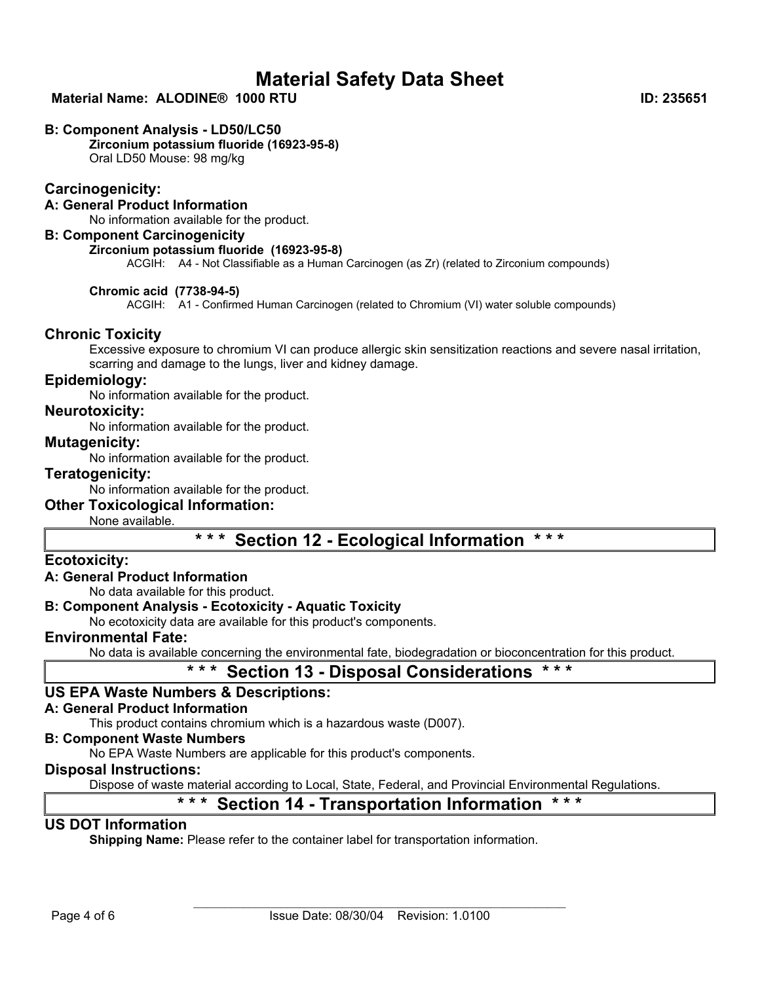# **Material Name: ALODINE® 1000 RTU ID: 235651**

## **B: Component Analysis - LD50/LC50**

**Zirconium potassium fluoride (16923-95-8)** Oral LD50 Mouse: 98 mg/kg

# **Carcinogenicity:**

**A: General Product Information** No information available for the product.

# **B: Component Carcinogenicity**

# **Zirconium potassium fluoride (16923-95-8)**

ACGIH: A4 - Not Classifiable as a Human Carcinogen (as Zr) (related to Zirconium compounds)

#### **Chromic acid (7738-94-5)**

ACGIH: A1 - Confirmed Human Carcinogen (related to Chromium (VI) water soluble compounds)

# **Chronic Toxicity**

Excessive exposure to chromium VI can produce allergic skin sensitization reactions and severe nasal irritation, scarring and damage to the lungs, liver and kidney damage.

# **Epidemiology:**

No information available for the product.

#### **Neurotoxicity:**

No information available for the product.

# **Mutagenicity:**

No information available for the product.

## **Teratogenicity:**

No information available for the product.

# **Other Toxicological Information:**

None available.

# **\* \* \* Section 12 - Ecological Information \* \* \***

# **Ecotoxicity:**

# **A: General Product Information**

No data available for this product.

# **B: Component Analysis - Ecotoxicity - Aquatic Toxicity**

No ecotoxicity data are available for this product's components.

# **Environmental Fate:**

No data is available concerning the environmental fate, biodegradation or bioconcentration for this product.

# **\* \* \* Section 13 - Disposal Considerations \* \* \***

# **US EPA Waste Numbers & Descriptions:**

# **A: General Product Information**

This product contains chromium which is a hazardous waste (D007).

#### **B: Component Waste Numbers**

No EPA Waste Numbers are applicable for this product's components.

# **Disposal Instructions:**

Dispose of waste material according to Local, State, Federal, and Provincial Environmental Regulations.

# **\* \* \* Section 14 - Transportation Information \* \* \***

# **US DOT Information**

**Shipping Name:** Please refer to the container label for transportation information.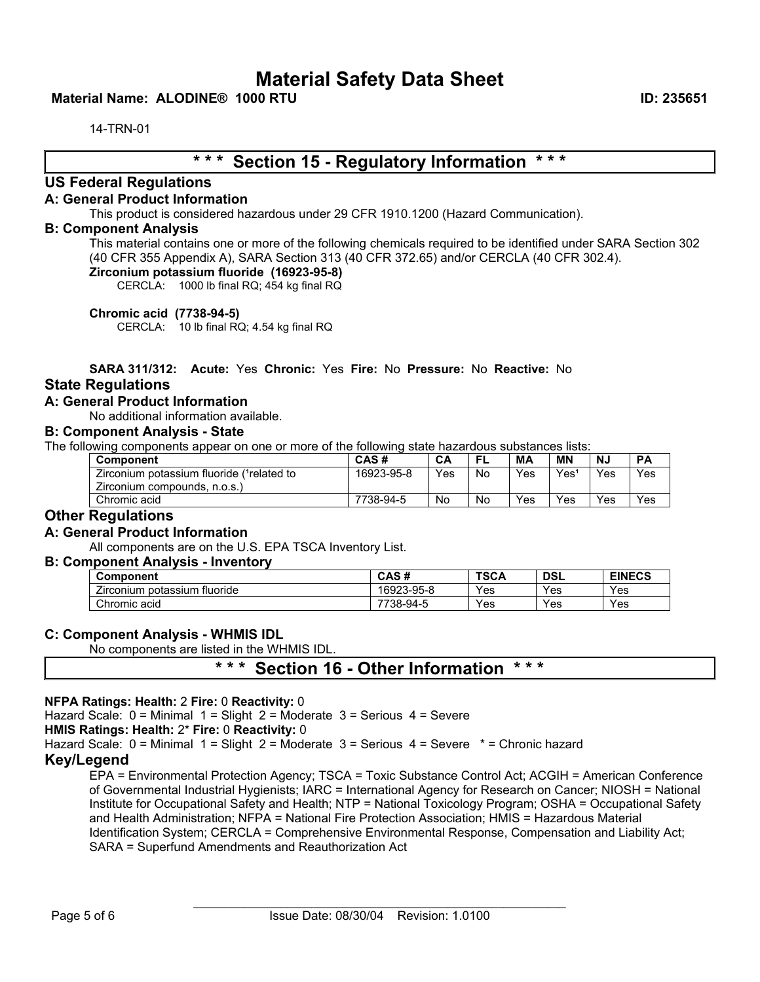# **Material Name: ALODINE® 1000 RTU ID: 235651**

14-TRN-01

# **\* \* \* Section 15 - Regulatory Information \* \* \***

# **US Federal Regulations**

#### **A: General Product Information**

This product is considered hazardous under 29 CFR 1910.1200 (Hazard Communication).

#### **B: Component Analysis**

This material contains one or more of the following chemicals required to be identified under SARA Section 302 (40 CFR 355 Appendix A), SARA Section 313 (40 CFR 372.65) and/or CERCLA (40 CFR 302.4).

# **Zirconium potassium fluoride (16923-95-8)**

CERCLA: 1000 lb final RQ; 454 kg final RQ

**Chromic acid (7738-94-5)**

CERCLA: 10 lb final RQ; 4.54 kg final RQ

# **SARA 311/312: Acute:** Yes **Chronic:** Yes **Fire:** No **Pressure:** No **Reactive:** No

# **State Regulations**

# **A: General Product Information**

No additional information available.

#### **B: Component Analysis - State**

The following components appear on one or more of the following state hazardous substances lists:

| <b>Component</b>                           | CAS#       | CA  |    | МA  | <b>MN</b>        | N., | <b>PA</b> |
|--------------------------------------------|------------|-----|----|-----|------------------|-----|-----------|
| Zirconium potassium fluoride (1 related to | 16923-95-8 | Yes | No | Yes | Yes <sup>®</sup> | Yes | Yes       |
| Zirconium compounds, n.o.s.)               |            |     |    |     |                  |     |           |
| Chromic acid                               | 7738-94-5  | No  | No | Yes | Yes              | Yes | Yes       |

# **Other Regulations**

# **A: General Product Information**

All components are on the U.S. EPA TSCA Inventory List.

#### **B: Component Analysis - Inventory**

| Component                                               | CAS<br>-44<br>טרש | <b>TSCA</b>        | DSL | <b>EINECS</b> |
|---------------------------------------------------------|-------------------|--------------------|-----|---------------|
| $- \cdot$<br>fluoride<br>potassium<br><i>L</i> irconium | 16923-95-8        | Yes                | Yes | Yes           |
| Chromic acid                                            | 7738-১            | -94-.<br>Yes<br>٠. | Yes | Yes           |

#### **C: Component Analysis - WHMIS IDL**

No components are listed in the WHMIS IDL.

# **\* \* \* Section 16 - Other Information \* \* \***

#### **NFPA Ratings: Health:** 2 **Fire:** 0 **Reactivity:** 0

Hazard Scale:  $0 =$  Minimal  $1 =$  Slight  $2 =$  Moderate  $3 =$  Serious  $4 =$  Severe

**HMIS Ratings: Health:** 2\* **Fire:** 0 **Reactivity:** 0

Hazard Scale: 0 = Minimal 1 = Slight 2 = Moderate 3 = Serious 4 = Severe \* = Chronic hazard

# **Key/Legend**

EPA = Environmental Protection Agency; TSCA = Toxic Substance Control Act; ACGIH = American Conference of Governmental Industrial Hygienists; IARC = International Agency for Research on Cancer; NIOSH = National Institute for Occupational Safety and Health; NTP = National Toxicology Program; OSHA = Occupational Safety and Health Administration; NFPA = National Fire Protection Association; HMIS = Hazardous Material Identification System; CERCLA = Comprehensive Environmental Response, Compensation and Liability Act; SARA = Superfund Amendments and Reauthorization Act